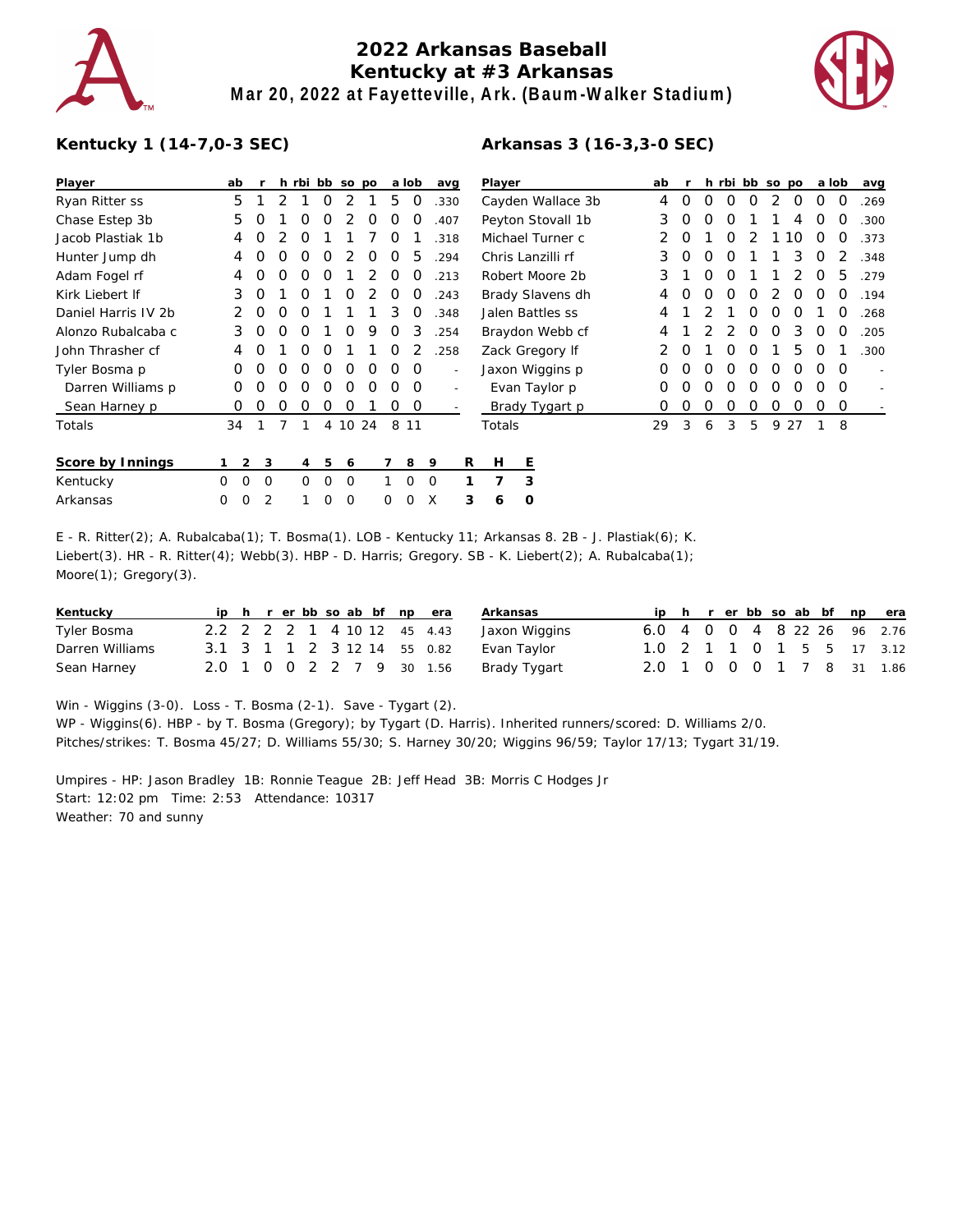

## **2022 Arkansas Baseball Kentucky at #3 Arkansas Mar 20, 2022 at Fayetteville, Ark. (Baum-Walker Stadium)**



## **Kentucky 1 (14-7,0-3 SEC)**

| Player              | ab            |                |          | h rbi bb so po |          |             |   |          | a lob          |          | avg                      |                   | Player            |                   |   |   | ab |   |   |   |   |   | h rbi bb so po | a lob    |          | avg  |
|---------------------|---------------|----------------|----------|----------------|----------|-------------|---|----------|----------------|----------|--------------------------|-------------------|-------------------|-------------------|---|---|----|---|---|---|---|---|----------------|----------|----------|------|
| Ryan Ritter ss      | 5             |                | 2        |                | 0        |             |   | 5        | 0              |          | .330                     |                   | Cayden Wallace 3b |                   |   |   | 4  | 0 | O | Ω | O | 2 | 0              | 0        | 0        | .269 |
| Chase Estep 3b      | 5             |                |          | Ο              | Ο        |             | Ο | Ο        | O              |          | .407                     | Peyton Stovall 1b |                   |                   |   |   | 3  | Ο | Ω | Ω |   |   | 4              | Ω        | O        | .300 |
| Jacob Plastiak 1b   | 4             | O              |          | O              |          |             |   | Ο        |                |          | 318                      |                   |                   | Michael Turner c  |   |   | 2  | O |   | Ο |   |   | 1<br>l O       | O        | O        | .373 |
| Hunter Jump dh      | 4             | Ο              | Ο        | O              | Ο        |             | Ο | Ο        | 5              |          | .294                     |                   |                   | Chris Lanzilli rf |   |   | 3  | O | Ο | O |   |   | 3              | O        | 2        | .348 |
| Adam Fogel rf       | 4             | O              | O        | O              | O        |             |   | O        | O              |          | Robert Moore 2b<br>.213  |                   |                   |                   | 3 |   | O  | O |   |   | 2 | 0 | 5              | .279     |          |      |
| Kirk Liebert If     | 3             | 0              |          | 0              |          | O           |   | O        | O              |          | .243                     | Brady Slavens dh  |                   |                   |   |   | 4  | O | 0 | 0 | 0 | 2 | 0              | 0        | 0        | .194 |
| Daniel Harris IV 2b |               | 0              | O        | O              |          |             |   | 3        | O              |          | .348                     | Jalen Battles ss  |                   |                   |   |   | 4  |   |   |   | Ο | 0 | O              |          | O        | .268 |
| Alonzo Rubalcaba c  | 3             | 0              | O        | 0              |          | O           | 9 | O        | 3              |          | .254                     | Braydon Webb cf   |                   |                   |   |   | 4  |   |   |   | O | O | 3              | O        | 0        | .205 |
| John Thrasher cf    | 4             | O              |          | Ο              | O        |             |   | O        |                |          | .258                     | Zack Gregory If   |                   |                   | 2 | O |    | O | O |   | 5 | O |                | .300     |          |      |
| Tyler Bosma p       | Ο             | O              | O        | O              | O        | 0           | 0 | 0        | 0              |          | $\overline{\phantom{a}}$ | Jaxon Wiggins p   |                   |                   |   |   | O  | O | Ω | O | O | O | O              | O        | $\Omega$ |      |
| Darren Williams p   | 0             | O              | O        | O              | 0        | 0           | 0 | 0        | $\Omega$       |          |                          | Evan Taylor p     |                   |                   |   | 0 | O  | O | Ο | O | 0 | O | O              | $\Omega$ |          |      |
| Sean Harney p       | 0             | O              | O        | 0              | O        | O           |   | 0        | $\overline{0}$ |          |                          |                   | Brady Tygart p    |                   |   |   | O  | O | O | O | O | 0 | 0              | 0        | 0        |      |
| Totals              | 34            |                |          |                |          | 4 10 24     |   | 8        | 11             |          |                          |                   | Totals            |                   |   |   | 29 | 3 | 6 | 3 | 5 | 9 | 27             |          | 8        |      |
| Score by Innings    |               | $\overline{2}$ | 3        | 4              | 5        | 6           |   |          | 8              | 9        |                          | R                 | Н                 | E                 |   |   |    |   |   |   |   |   |                |          |          |      |
| Kentucky            | $\Omega$<br>0 |                | $\Omega$ | $\Omega$       | 0        | 0           |   |          | $\Omega$       | $\Omega$ |                          |                   | 7                 | 3                 |   |   |    |   |   |   |   |   |                |          |          |      |
| Arkansas            | 0<br>0        |                | 2        | 1              | $\Omega$ | $\mathbf 0$ |   | $\Omega$ | $\Omega$       | X        |                          | 3                 | 6                 | O                 |   |   |    |   |   |   |   |   |                |          |          |      |
|                     |               |                |          |                |          |             |   |          |                |          |                          |                   |                   |                   |   |   |    |   |   |   |   |   |                |          |          |      |

E - R. Ritter(2); A. Rubalcaba(1); T. Bosma(1). LOB - Kentucky 11; Arkansas 8. 2B - J. Plastiak(6); K. Liebert(3). HR - R. Ritter(4); Webb(3). HBP - D. Harris; Gregory. SB - K. Liebert(2); A. Rubalcaba(1); Moore(1); Gregory(3).

| Kentucky        |  |  |  |  | ip h r er bb so ab bf np era | Arkansas      |                             |  |  |  |  | ip h r er bb so ab bf np era |
|-----------------|--|--|--|--|------------------------------|---------------|-----------------------------|--|--|--|--|------------------------------|
| Tyler Bosma     |  |  |  |  | 2.2 2 2 2 1 4 10 12 45 4.43  | Jaxon Wiggins | 6.0 4 0 0 4 8 22 26 96 2.76 |  |  |  |  |                              |
| Darren Williams |  |  |  |  | 3.1 3 1 1 2 3 12 14 55 0.82  | Evan Taylor   |                             |  |  |  |  | 1.0 2 1 1 0 1 5 5 17 3.12    |
| Sean Harney     |  |  |  |  | 2.0 1 0 0 2 2 7 9 30 1.56    | Brady Tygart  | 2.0 1 0 0 0 1 7 8 31 1.86   |  |  |  |  |                              |

Win - Wiggins (3-0). Loss - T. Bosma (2-1). Save - Tygart (2). WP - Wiggins(6). HBP - by T. Bosma (Gregory); by Tygart (D. Harris). Inherited runners/scored: D. Williams 2/0. Pitches/strikes: T. Bosma 45/27; D. Williams 55/30; S. Harney 30/20; Wiggins 96/59; Taylor 17/13; Tygart 31/19.

Umpires - HP: Jason Bradley 1B: Ronnie Teague 2B: Jeff Head 3B: Morris C Hodges Jr Start: 12:02 pm Time: 2:53 Attendance: 10317 Weather: 70 and sunny

## **Arkansas 3 (16-3,3-0 SEC)**